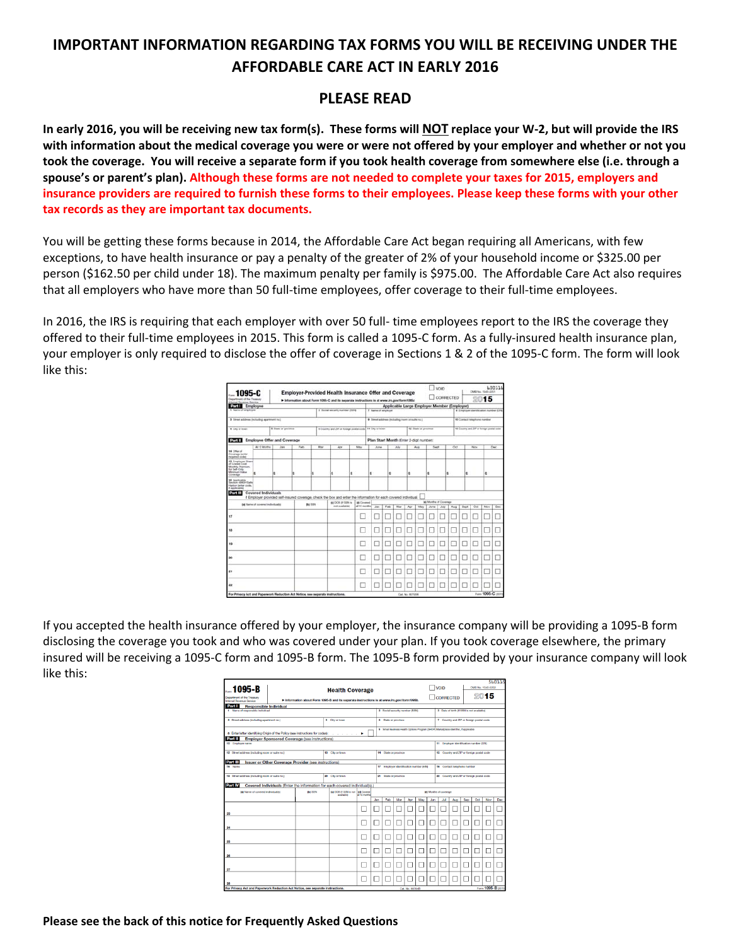# **IMPORTANT INFORMATION REGARDING TAX FORMS YOU WILL BE RECEIVING UNDER THE AFFORDABLE CARE ACT IN EARLY 2016**

## **PLEASE READ**

In early 2016, you will be receiving new tax form(s). These forms will NOT replace your W-2, but will provide the IRS with information about the medical coverage you were or were not offered by your employer and whether or not you took the coverage. You will receive a separate form if you took health coverage from somewhere else (i.e. through a spouse's or parent's plan). Although these forms are not needed to complete your taxes for 2015, employers and insurance providers are required to furnish these forms to their employees. Please keep these forms with your other **tax records as they are important tax documents.**

You will be getting these forms because in 2014, the Affordable Care Act began requiring all Americans, with few exceptions, to have health insurance or pay a penalty of the greater of 2% of your household income or \$325.00 per person (\$162.50 per child under 18). The maximum penalty per family is \$975.00. The Affordable Care Act also requires that all employers who have more than 50 full‐time employees, offer coverage to their full‐time employees.

In 2016, the IRS is requiring that each employer with over 50 full- time employees report to the IRS the coverage they offered to their full‐time employees in 2015. This form is called a 1095‐C form. As a fully‐insured health insurance plan, your employer is only required to disclose the offer of coverage in Sections 1 & 2 of the 1095‐C form. The form will look like this:

| <b>._1095-C</b><br>Department of the Treasury<br>Humai Revenue Service                                    |                                          |                                    |                                                                                             |                                                        | <b>Employer-Provided Health Insurance Offer and Coverage</b>                                                     |                                    |                                              |                                    |                                             |                      |     |                                        | VOID                                   |                             |             |     | CARS No. 1545-2257 | 600116 |  |
|-----------------------------------------------------------------------------------------------------------|------------------------------------------|------------------------------------|---------------------------------------------------------------------------------------------|--------------------------------------------------------|------------------------------------------------------------------------------------------------------------------|------------------------------------|----------------------------------------------|------------------------------------|---------------------------------------------|----------------------|-----|----------------------------------------|----------------------------------------|-----------------------------|-------------|-----|--------------------|--------|--|
|                                                                                                           |                                          |                                    | In Information about Form 1095-C and its separate instructions is at www.irs.gov/form 1095c |                                                        |                                                                                                                  |                                    |                                              |                                    | CORRECTED                                   |                      |     | 2015                                   |                                        |                             |             |     |                    |        |  |
| <b>STILL</b> Employee                                                                                     |                                          |                                    |                                                                                             |                                                        | 2 Social excurts number (55%)                                                                                    |                                    |                                              |                                    | Applicable Large Employer Member (Employer) |                      |     |                                        |                                        |                             |             |     |                    |        |  |
| 4 Name of amplioner                                                                                       | 7 Stame of smoknow                       |                                    |                                                                                             |                                                        |                                                                                                                  |                                    |                                              | 8 Employer clumbication mander STA |                                             |                      |     |                                        |                                        |                             |             |     |                    |        |  |
| 3 Street address (including apartment ho.)                                                                |                                          |                                    |                                                                                             |                                                        |                                                                                                                  |                                    | # Street address (mchaling room or eate no.) |                                    |                                             |                      |     |                                        |                                        | 10 Contact telephone number |             |     |                    |        |  |
| \$ Tists or province<br>4 City or lower                                                                   |                                          |                                    |                                                                                             | 6 County and 29° or fundap postal code 11 City or town |                                                                                                                  |                                    |                                              |                                    |                                             | 12 There or province |     |                                        | 43 Country and 29° or house promé sode |                             |             |     |                    |        |  |
| Part II                                                                                                   |                                          | <b>Employee Offer and Coverage</b> |                                                                                             |                                                        |                                                                                                                  |                                    | Plan Start Month (Inter 2-digit number)      |                                    |                                             |                      |     |                                        |                                        |                             |             |     |                    |        |  |
| <b>14 Chius of</b><br>Coverage tenter<br>salazing costal                                                  | All 12 Months                            |                                    | Fab                                                                                         | Mar                                                    | Apr                                                                                                              | May                                |                                              | June<br>July                       |                                             |                      | Aug |                                        | Sept                                   | Oct                         |             | Nov |                    | Dec    |  |
| 45 Engineer Sture<br>of Lowest Coat<br>Monthly Premium,<br>for Swift-Circle<br>Minimum Viatue<br>Coverage |                                          | ıs.                                | ×                                                                                           |                                                        | s                                                                                                                | s                                  | s.                                           | l\$                                |                                             | š                    |     | в                                      |                                        | ĸ                           | s           |     | s                  |        |  |
| <b>NE</b> Applicable<br>Saction 4000 4 Sale<br>Harbor beriar code<br># applicable)                        |                                          |                                    |                                                                                             |                                                        |                                                                                                                  |                                    |                                              |                                    |                                             |                      |     |                                        |                                        |                             |             |     |                    |        |  |
| Part III                                                                                                  | <b>Covered Individuals</b>               |                                    |                                                                                             |                                                        | If Employer provided self-insured coverage, check the box and enter the information for each covered individual. |                                    |                                              |                                    |                                             |                      |     |                                        |                                        |                             |             |     |                    |        |  |
|                                                                                                           | <b>SAI Name of sovered individualist</b> |                                    |                                                                                             | <b>BAS SIGNA</b>                                       | <b>MADOB IN SIZA W.</b><br>not evaluate)                                                                         | <b>M</b> Covered<br>at 12 years of | Jan                                          | Fab                                | Mar                                         | Apr                  | May | let Munths of Coverage<br><b>Jurie</b> | July                                   | Aug                         | <b>Dept</b> | Oct | Nov                | Dec    |  |
| 17                                                                                                        |                                          |                                    |                                                                                             |                                                        |                                                                                                                  |                                    |                                              |                                    |                                             |                      |     |                                        |                                        |                             |             |     |                    |        |  |
| 18                                                                                                        |                                          |                                    |                                                                                             |                                                        |                                                                                                                  | ä                                  |                                              |                                    |                                             |                      |     |                                        |                                        |                             |             |     |                    |        |  |
| 19                                                                                                        |                                          |                                    |                                                                                             |                                                        |                                                                                                                  |                                    | 2                                            |                                    |                                             |                      |     |                                        |                                        |                             |             |     |                    |        |  |
| m                                                                                                         |                                          |                                    |                                                                                             |                                                        |                                                                                                                  |                                    |                                              |                                    |                                             |                      |     |                                        |                                        |                             |             |     |                    |        |  |
| 21                                                                                                        |                                          |                                    |                                                                                             |                                                        |                                                                                                                  |                                    |                                              |                                    |                                             |                      |     |                                        |                                        |                             |             |     |                    |        |  |
| $^{22}$                                                                                                   |                                          |                                    |                                                                                             |                                                        |                                                                                                                  |                                    |                                              |                                    |                                             |                      |     |                                        |                                        |                             |             |     |                    |        |  |
| For Privacy Act and Paperwork Reduction Act Notice, see separate instructions.                            |                                          |                                    |                                                                                             |                                                        |                                                                                                                  |                                    |                                              |                                    |                                             | Cat. No. RETURN      |     |                                        |                                        |                             |             |     | Fum 1095-C (2011)  |        |  |

If you accepted the health insurance offered by your employer, the insurance company will be providing a 1095‐B form disclosing the coverage you took and who was covered under your plan. If you took coverage elsewhere, the primary insured will be receiving a 1095‐C form and 1095‐B form. The 1095‐B form provided by your insurance company will look like this:

|                                                                                                                                 |                        |         |                                                                                          |                        |     |                                                                   |                                                                                      |                                |     |                                          |      |                                           | 560115                      |                                           |                    |     |  |  |  |  |
|---------------------------------------------------------------------------------------------------------------------------------|------------------------|---------|------------------------------------------------------------------------------------------|------------------------|-----|-------------------------------------------------------------------|--------------------------------------------------------------------------------------|--------------------------------|-----|------------------------------------------|------|-------------------------------------------|-----------------------------|-------------------------------------------|--------------------|-----|--|--|--|--|
| . 1095-B                                                                                                                        | <b>Health Coverage</b> |         |                                                                                          |                        |     |                                                                   | VOID                                                                                 |                                |     | OMB No. 1545-2252                        |      |                                           |                             |                                           |                    |     |  |  |  |  |
| Department of the Treasury<br>Internal Revenue Service                                                                          |                        |         | Information about Form 1095-B and its separate instructions is at www.irs.gov/form1095b. |                        |     |                                                                   |                                                                                      | CORRECTED                      |     |                                          | 2015 |                                           |                             |                                           |                    |     |  |  |  |  |
| Part I<br><b>Responsible Individual</b>                                                                                         |                        |         |                                                                                          |                        |     |                                                                   |                                                                                      |                                |     |                                          |      |                                           |                             |                                           |                    |     |  |  |  |  |
| 1 Name of responsible individual                                                                                                |                        |         |                                                                                          |                        |     |                                                                   |                                                                                      | 2 Social security number (SSN) |     |                                          |      |                                           |                             | 3 Date of birth (If SSN is not available) |                    |     |  |  |  |  |
| 4 Street address (including apartment no.)                                                                                      | 5 City or town         |         |                                                                                          | 6 State or province    |     |                                                                   |                                                                                      |                                |     | 7 Country and ZIP or foreign postal code |      |                                           |                             |                                           |                    |     |  |  |  |  |
| a Enter letter identifying Origin of the Policy (see instructions for codes):<br>and a state of                                 |                        |         |                                                                                          |                        |     |                                                                   | 9 Small Business Health Options Program (SHOP) Marketplace identifier, if applicable |                                |     |                                          |      |                                           |                             |                                           |                    |     |  |  |  |  |
| Part II<br><b>Employer Sponsored Coverage (see instructions)</b><br>10 Employer name<br>11 Employer identification number (EIN) |                        |         |                                                                                          |                        |     |                                                                   |                                                                                      |                                |     |                                          |      |                                           |                             |                                           |                    |     |  |  |  |  |
|                                                                                                                                 |                        |         |                                                                                          |                        |     |                                                                   |                                                                                      |                                |     |                                          |      |                                           |                             |                                           |                    |     |  |  |  |  |
| 12 Street address (including room or suite no.)<br>13 City or fown                                                              |                        |         |                                                                                          |                        |     | 14 State or province                                              |                                                                                      |                                |     |                                          |      | 15 Country and ZIP or foreign postal code |                             |                                           |                    |     |  |  |  |  |
| Part III<br><b>Issuer or Other Coverage Provider (see instructions)</b>                                                         |                        |         |                                                                                          |                        |     |                                                                   |                                                                                      |                                |     |                                          |      |                                           |                             |                                           |                    |     |  |  |  |  |
| 16 Namo                                                                                                                         |                        |         |                                                                                          |                        |     |                                                                   | 17 Employer identification number (EIN)                                              |                                |     |                                          |      |                                           | 18 Contact telephone number |                                           |                    |     |  |  |  |  |
| 19 Street address including room or suite no.)<br>20 City or town                                                               |                        |         |                                                                                          |                        |     | 22 Country and ZIP or foreign postal code<br>21 State or province |                                                                                      |                                |     |                                          |      |                                           |                             |                                           |                    |     |  |  |  |  |
| Part IV<br>Covered Individuals (Enter the information for each covered individual(s).                                           |                        |         |                                                                                          |                        |     |                                                                   |                                                                                      |                                |     |                                          |      |                                           |                             |                                           |                    |     |  |  |  |  |
| (a) Name of covered individualist                                                                                               |                        | (b) SSN | (c) DOB (H SSN is not (d) Corend<br>and all 12 months                                    | (a) Months of coverage |     |                                                                   |                                                                                      |                                |     |                                          |      |                                           |                             |                                           |                    |     |  |  |  |  |
|                                                                                                                                 |                        |         |                                                                                          |                        | Jan | Feb                                                               | Mw                                                                                   | Apr                            | May | Jun                                      | Jul  | Aug                                       | 860                         | Oct                                       | Nov                | Dec |  |  |  |  |
| 23                                                                                                                              |                        |         |                                                                                          |                        |     |                                                                   |                                                                                      |                                |     |                                          |      |                                           |                             |                                           |                    |     |  |  |  |  |
|                                                                                                                                 |                        |         |                                                                                          |                        |     |                                                                   |                                                                                      |                                |     |                                          |      |                                           |                             |                                           |                    |     |  |  |  |  |
| 24                                                                                                                              |                        |         |                                                                                          |                        |     |                                                                   |                                                                                      |                                |     |                                          |      |                                           |                             |                                           |                    |     |  |  |  |  |
|                                                                                                                                 |                        |         |                                                                                          |                        |     |                                                                   |                                                                                      |                                |     |                                          |      |                                           |                             |                                           |                    |     |  |  |  |  |
| 25                                                                                                                              |                        |         |                                                                                          |                        |     |                                                                   |                                                                                      |                                |     |                                          |      |                                           |                             |                                           |                    |     |  |  |  |  |
|                                                                                                                                 |                        |         |                                                                                          |                        |     |                                                                   |                                                                                      |                                |     |                                          |      |                                           |                             |                                           |                    |     |  |  |  |  |
| 26                                                                                                                              |                        |         |                                                                                          |                        |     |                                                                   |                                                                                      |                                |     |                                          |      |                                           |                             |                                           |                    |     |  |  |  |  |
| 27                                                                                                                              |                        |         |                                                                                          |                        |     |                                                                   |                                                                                      |                                |     |                                          |      |                                           |                             |                                           |                    |     |  |  |  |  |
|                                                                                                                                 |                        |         |                                                                                          |                        |     |                                                                   |                                                                                      |                                |     |                                          |      |                                           |                             |                                           |                    |     |  |  |  |  |
| 28                                                                                                                              |                        |         |                                                                                          |                        |     |                                                                   |                                                                                      |                                |     |                                          |      |                                           |                             |                                           |                    |     |  |  |  |  |
| For Privacy Act and Paperwork Reduction Act Notice, see separate instructions.                                                  |                        |         |                                                                                          |                        |     |                                                                   |                                                                                      | Cat. No. 60704R                |     |                                          |      |                                           |                             |                                           | Form 1095-B (2015) |     |  |  |  |  |

**Please see the back of this notice for Frequently Asked Questions**